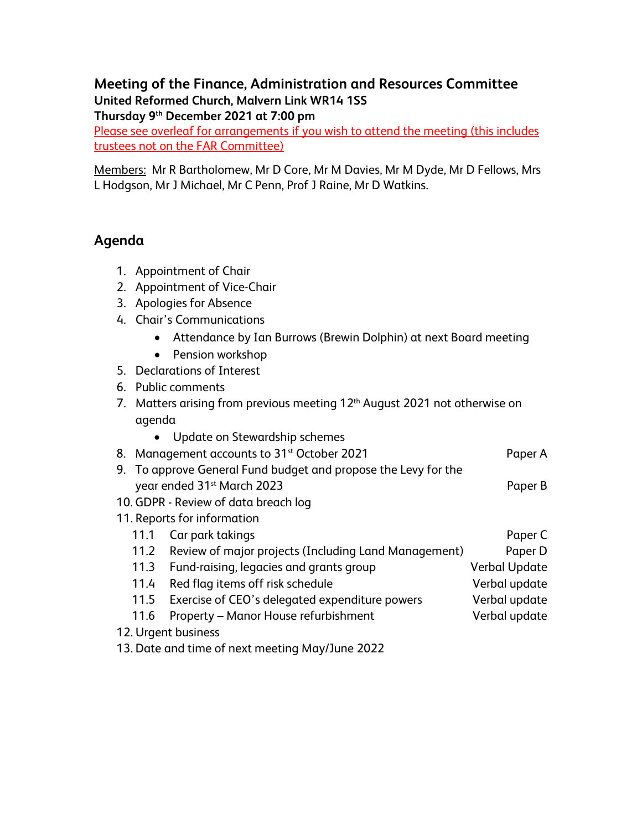## **Meeting of the Finance, Administration and Resources Committee United Reformed Church, Malvern Link WR14 1SS Thursday 9th December 2021 at 7:00 pm**

Please see overleaf for arrangements if you wish to attend the meeting (this includes trustees not on the FAR Committee)

Members: Mr R Bartholomew, Mr D Core, Mr M Davies, Mr M Dyde, Mr D Fellows, Mrs L Hodgson, Mr J Michael, Mr C Penn, Prof J Raine, Mr D Watkins.

## **Agenda**

- 1. Appointment of Chair
- 2. Appointment of Vice-Chair
- 3. Apologies for Absence
- 4. Chair's Communications
	- Attendance by Ian Burrows (Brewin Dolphin) at next Board meeting
	- Pension workshop
- 5. Declarations of Interest
- 6. Public comments
- 7. Matters arising from previous meeting 12<sup>th</sup> August 2021 not otherwise on agenda
- Update on Stewardship schemes 8. Management accounts to 31<sup>st</sup> October 2021 **Paper A** 9. To approve General Fund budget and propose the Levy for the year ended 31st March 2023 Paper B
- 10. GDPR Review of data breach log
- 11. Reports for information
	- 11.1 Car park takings **Paper C** and the control of the control of the Paper C 11.2 Review of major projects (Including Land Management) Paper D 11.3 Fund-raising, legacies and grants group Verbal Update 11.4 Red flag items off risk schedule value of the Verbal update 11.5 Exercise of CEO's delegated expenditure powers Verbal update 11.6 Property – Manor House refurbishment Verbal update
- 12. Urgent business
- 13. Date and time of next meeting May/June 2022